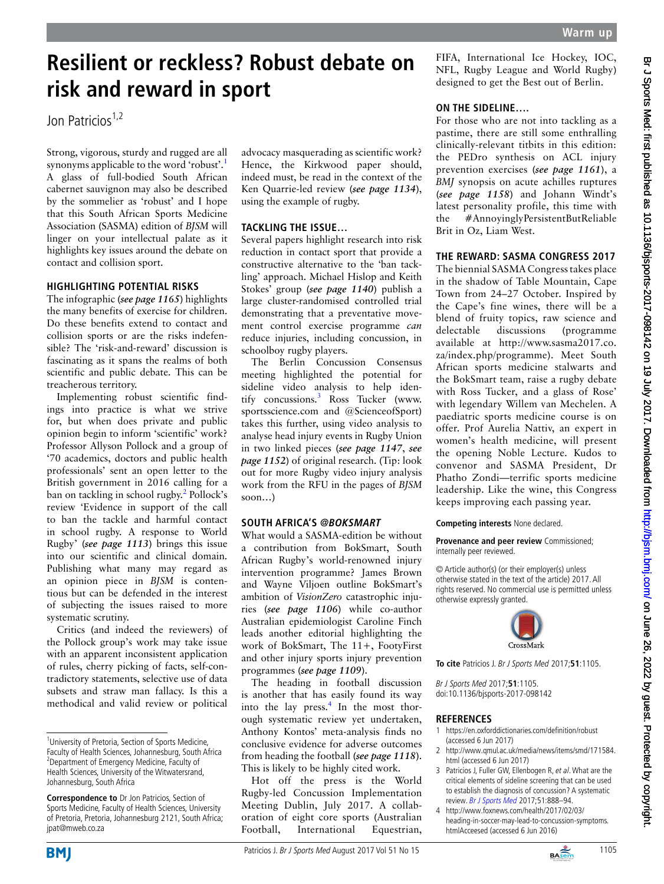# **Resilient or reckless? Robust debate on risk and reward in sport**

Jon Patricios $1,2$ 

Strong, vigorous, sturdy and rugged are all synonyms applicable to the word 'robust'.<sup>[1](#page-0-0)</sup> A glass of full-bodied South African cabernet sauvignon may also be described by the sommelier as 'robust' and I hope that this South African Sports Medicine Association (SASMA) edition of *BJSM* will linger on your intellectual palate as it highlights key issues around the debate on contact and collision sport.

#### **HIGHLIGHTING POTENTIAL RISKS**

The infographic (*see page 1165*) highlights the many benefits of exercise for children. Do these benefits extend to contact and collision sports or are the risks indefensible? The 'risk-and-reward' discussion is fascinating as it spans the realms of both scientific and public debate. This can be treacherous territory.

Implementing robust scientific findings into practice is what we strive for, but when does private and public opinion begin to inform 'scientific' work? Professor Allyson Pollock and a group of '70 academics, doctors and public health professionals' sent an open letter to the British government in 2016 calling for a ban on tackling in school rugby.<sup>2</sup> Pollock's review 'Evidence in support of the call to ban the tackle and harmful contact in school rugby. A response to World Rugby' (*see page 1113*) brings this issue into our scientific and clinical domain. Publishing what many may regard as an opinion piece in *BJSM* is contentious but can be defended in the interest of subjecting the issues raised to more systematic scrutiny.

Critics (and indeed the reviewers) of the Pollock group's work may take issue with an apparent inconsistent application of rules, cherry picking of facts, self-contradictory statements, selective use of data subsets and straw man fallacy. Is this a methodical and valid review or political

advocacy masquerading as scientific work? Hence, the Kirkwood paper should, indeed must, be read in the context of the Ken Quarrie-led review (*see page 1134*), using the example of rugby.

## **TACKLING THE ISSUE…**

Several papers highlight research into risk reduction in contact sport that provide a constructive alternative to the 'ban tackling' approach. Michael Hislop and Keith Stokes' group (*see page 1140*) publish a large cluster-randomised controlled trial demonstrating that a preventative movement control exercise programme *can* reduce injuries, including concussion, in schoolboy rugby players.

The Berlin Concussion Consensus meeting highlighted the potential for sideline video analysis to help iden-tify concussions.<sup>[3](#page-0-2)</sup> Ross Tucker (www. sportsscience.com and @ScienceofSport) takes this further, using video analysis to analyse head injury events in Rugby Union in two linked pieces (*see page 1147*, *see page 1152*) of original research. (Tip: look out for more Rugby video injury analysis work from the RFU in the pages of *BJSM* soon…)

#### **SOUTH AFRICA'S @BOKSMART**

What would a SASMA-edition be without a contribution from BokSmart, South African Rugby's world-renowned injury intervention programme? James Brown and Wayne Viljoen outline BokSmart's ambition of *VisionZero* catastrophic injuries (*see page 1106*) while co-author Australian epidemiologist Caroline Finch leads another editorial highlighting the work of BokSmart, The 11+, FootyFirst and other injury sports injury prevention programmes (*see page 1109*).

The heading in football discussion is another that has easily found its way into the lay press.<sup>[4](#page-0-3)</sup> In the most thorough systematic review yet undertaken, Anthony Kontos' meta-analysis finds no conclusive evidence for adverse outcomes from heading the football (*see page 1118*). This is likely to be highly cited work.

Hot off the press is the World Rugby-led Concussion Implementation Meeting Dublin, July 2017. A collaboration of eight core sports (Australian Football, International Equestrian, FIFA, International Ice Hockey, IOC, NFL, Rugby League and World Rugby) designed to get the Best out of Berlin.

## **ON THE SIDELINE….**

For those who are not into tackling as a pastime, there are still some enthralling clinically-relevant titbits in this edition: the PEDro synthesis on ACL injury prevention exercises (*see page 1161*), a *BMJ* synopsis on acute achilles ruptures (*see page 1158*) and Johann Windt's latest personality profile, this time with the #AnnoyinglyPersistentButReliable Brit in Oz, Liam West.

#### **THE REWARD: SASMA CONGRESS 2017**

The biennial SASMA Congress takes place in the shadow of Table Mountain, Cape Town from 24–27 October. Inspired by the Cape's fine wines, there will be a blend of fruity topics, raw science and delectable discussions (programme available at [http://www.sasma2017.co.](http://www.sasma2017.co.za/index.php/programme) [za/index.php/programme](http://www.sasma2017.co.za/index.php/programme)). Meet South African sports medicine stalwarts and the BokSmart team, raise a rugby debate with Ross Tucker, and a glass of Rose' with legendary Willem van Mechelen. A paediatric sports medicine course is on offer. Prof Aurelia Nattiv, an expert in women's health medicine, will present the opening Noble Lecture. Kudos to convenor and SASMA President, Dr Phatho Zondi—terrific sports medicine leadership. Like the wine, this Congress keeps improving each passing year.

#### **Competing interests** None declared.

**Provenance and peer review** Commissioned; internally peer reviewed.

© Article author(s) (or their employer(s) unless otherwise stated in the text of the article) 2017. All rights reserved. No commercial use is permitted unless otherwise expressly granted.



**To cite** Patricios J. Br J Sports Med 2017;**51**:1105.

Br J Sports Med 2017;**51**:1105. doi:10.1136/bjsports-2017-098142

#### **REFERENCES**

- <span id="page-0-0"></span>1 <https://en.oxforddictionaries.com/definition/robust> (accessed 6 Jun 2017)
- <span id="page-0-1"></span>2 [http://www.qmul.ac.uk/media/news/items/smd/171584.](http://www.qmul.ac.uk/media/news/items/smd/171584.html) [html](http://www.qmul.ac.uk/media/news/items/smd/171584.html) (accessed 6 Jun 2017)
- <span id="page-0-2"></span>3 Patricios J, Fuller GW, Ellenbogen R, et al. What are the critical elements of sideline screening that can be used to establish the diagnosis of concussion? A systematic review. Br J Sports Med 2017;51:888-94.
- <span id="page-0-3"></span>4 [http://www.foxnews.com/health/2017/02/03/](http://www.foxnews.com/health/2017/02/03/heading-in-soccer-may-lead-to-concussion-symptoms.htmlAcceesed) [heading-in-soccer-may-lead-to-concussion-symptoms.](http://www.foxnews.com/health/2017/02/03/heading-in-soccer-may-lead-to-concussion-symptoms.htmlAcceesed) [htmlAcceesed](http://www.foxnews.com/health/2017/02/03/heading-in-soccer-may-lead-to-concussion-symptoms.htmlAcceesed) (accessed 6 Jun 2016)





<sup>&</sup>lt;sup>1</sup>University of Pretoria, Section of Sports Medicine, Faculty of Health Sciences, Johannesburg, South Africa <sup>2</sup> Department of Emergency Medicine, Faculty of Health Sciences, University of the Witwatersrand, Johannesburg, South Africa

**Correspondence to** Dr Jon Patricios, Section of Sports Medicine, Faculty of Health Sciences, University of Pretoria, Pretoria, Johannesburg 2121, South Africa; jpat@mweb.co.za